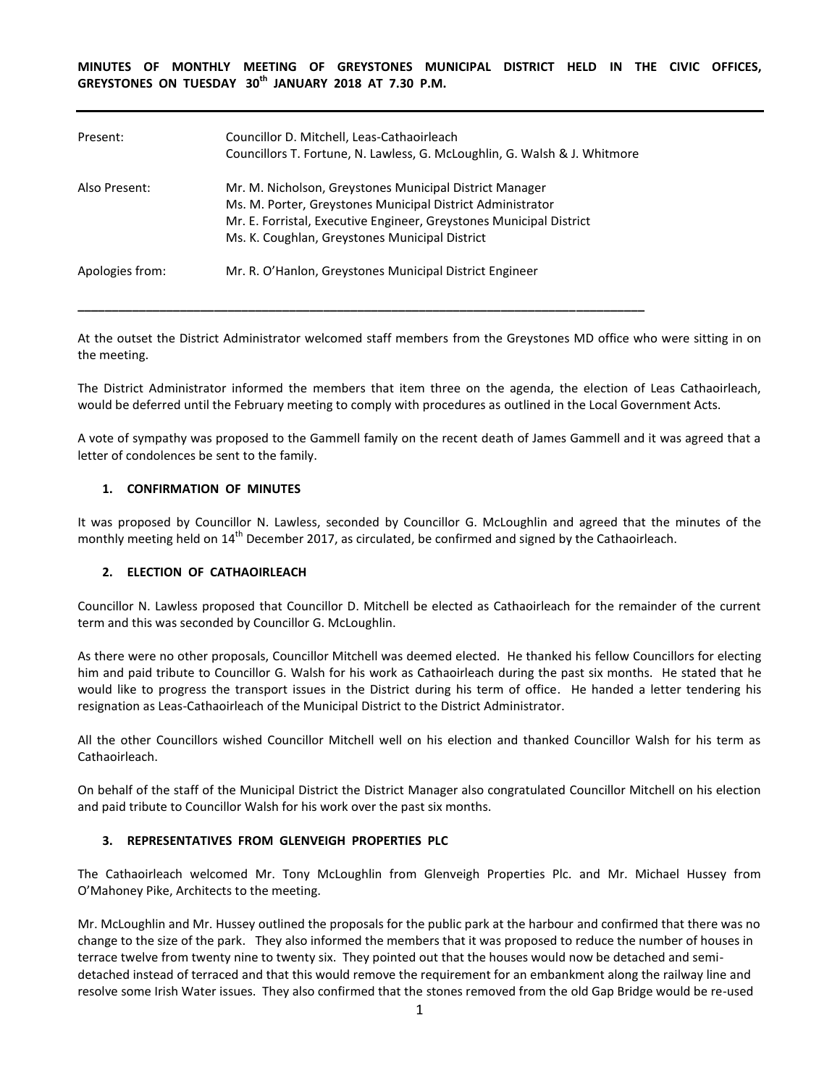**MINUTES OF MONTHLY MEETING OF GREYSTONES MUNICIPAL DISTRICT HELD IN THE CIVIC OFFICES, GREYSTONES ON TUESDAY 30th JANUARY 2018 AT 7.30 P.M.** 

| Present:        | Councillor D. Mitchell, Leas-Cathaoirleach<br>Councillors T. Fortune, N. Lawless, G. McLoughlin, G. Walsh & J. Whitmore                                                                                                                        |
|-----------------|------------------------------------------------------------------------------------------------------------------------------------------------------------------------------------------------------------------------------------------------|
| Also Present:   | Mr. M. Nicholson, Greystones Municipal District Manager<br>Ms. M. Porter, Greystones Municipal District Administrator<br>Mr. E. Forristal, Executive Engineer, Greystones Municipal District<br>Ms. K. Coughlan, Greystones Municipal District |
| Apologies from: | Mr. R. O'Hanlon, Greystones Municipal District Engineer                                                                                                                                                                                        |

**\_\_\_\_\_\_\_\_\_\_\_\_\_\_\_\_\_\_\_\_\_\_\_\_\_\_\_\_\_\_\_\_\_\_\_\_\_\_\_\_\_\_\_\_\_\_\_\_\_\_\_\_\_\_\_\_\_\_\_\_\_\_\_\_\_\_\_\_\_\_\_\_\_\_\_\_\_\_\_\_\_\_\_**

At the outset the District Administrator welcomed staff members from the Greystones MD office who were sitting in on the meeting.

The District Administrator informed the members that item three on the agenda, the election of Leas Cathaoirleach, would be deferred until the February meeting to comply with procedures as outlined in the Local Government Acts.

A vote of sympathy was proposed to the Gammell family on the recent death of James Gammell and it was agreed that a letter of condolences be sent to the family.

#### **1. CONFIRMATION OF MINUTES**

It was proposed by Councillor N. Lawless, seconded by Councillor G. McLoughlin and agreed that the minutes of the monthly meeting held on 14<sup>th</sup> December 2017, as circulated, be confirmed and signed by the Cathaoirleach.

#### **2. ELECTION OF CATHAOIRLEACH**

Councillor N. Lawless proposed that Councillor D. Mitchell be elected as Cathaoirleach for the remainder of the current term and this was seconded by Councillor G. McLoughlin.

As there were no other proposals, Councillor Mitchell was deemed elected. He thanked his fellow Councillors for electing him and paid tribute to Councillor G. Walsh for his work as Cathaoirleach during the past six months. He stated that he would like to progress the transport issues in the District during his term of office. He handed a letter tendering his resignation as Leas-Cathaoirleach of the Municipal District to the District Administrator.

All the other Councillors wished Councillor Mitchell well on his election and thanked Councillor Walsh for his term as Cathaoirleach.

On behalf of the staff of the Municipal District the District Manager also congratulated Councillor Mitchell on his election and paid tribute to Councillor Walsh for his work over the past six months.

#### **3. REPRESENTATIVES FROM GLENVEIGH PROPERTIES PLC**

The Cathaoirleach welcomed Mr. Tony McLoughlin from Glenveigh Properties Plc. and Mr. Michael Hussey from O'Mahoney Pike, Architects to the meeting.

Mr. McLoughlin and Mr. Hussey outlined the proposals for the public park at the harbour and confirmed that there was no change to the size of the park. They also informed the members that it was proposed to reduce the number of houses in terrace twelve from twenty nine to twenty six. They pointed out that the houses would now be detached and semidetached instead of terraced and that this would remove the requirement for an embankment along the railway line and resolve some Irish Water issues. They also confirmed that the stones removed from the old Gap Bridge would be re-used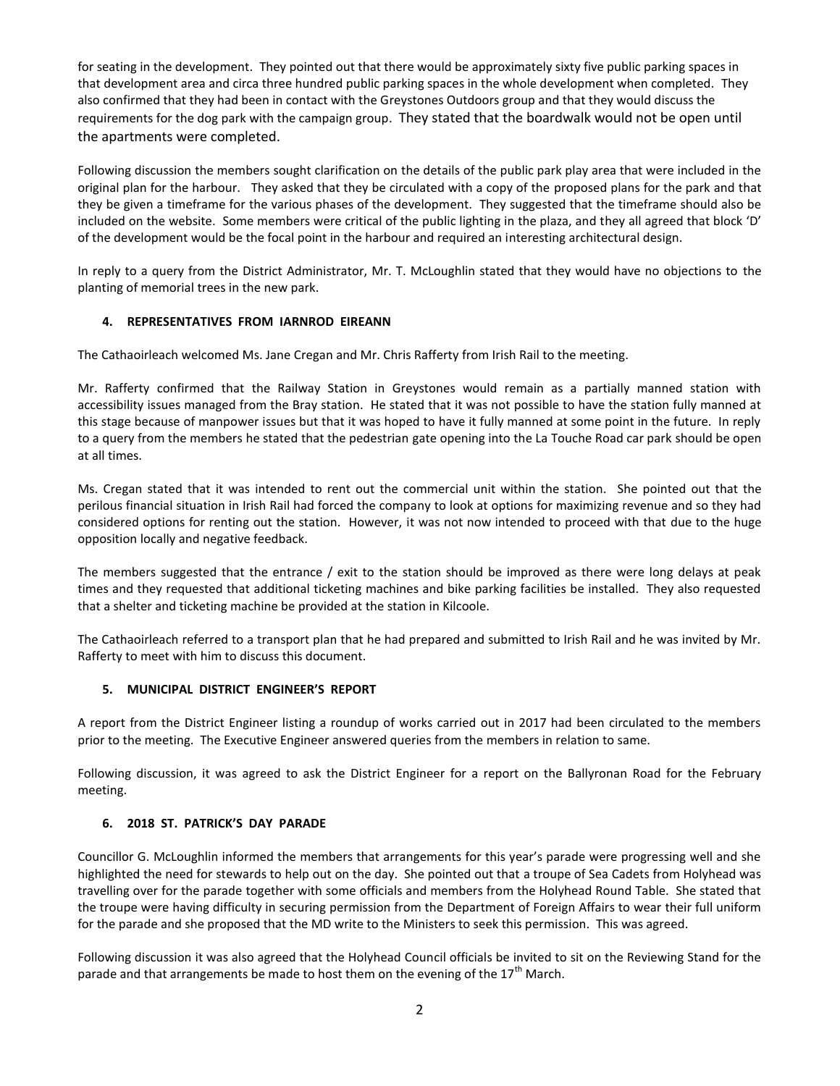for seating in the development. They pointed out that there would be approximately sixty five public parking spaces in that development area and circa three hundred public parking spaces in the whole development when completed. They also confirmed that they had been in contact with the Greystones Outdoors group and that they would discuss the requirements for the dog park with the campaign group. They stated that the boardwalk would not be open until the apartments were completed.

Following discussion the members sought clarification on the details of the public park play area that were included in the original plan for the harbour. They asked that they be circulated with a copy of the proposed plans for the park and that they be given a timeframe for the various phases of the development. They suggested that the timeframe should also be included on the website. Some members were critical of the public lighting in the plaza, and they all agreed that block 'D' of the development would be the focal point in the harbour and required an interesting architectural design.

In reply to a query from the District Administrator, Mr. T. McLoughlin stated that they would have no objections to the planting of memorial trees in the new park.

# **4. REPRESENTATIVES FROM IARNROD EIREANN**

The Cathaoirleach welcomed Ms. Jane Cregan and Mr. Chris Rafferty from Irish Rail to the meeting.

Mr. Rafferty confirmed that the Railway Station in Greystones would remain as a partially manned station with accessibility issues managed from the Bray station. He stated that it was not possible to have the station fully manned at this stage because of manpower issues but that it was hoped to have it fully manned at some point in the future. In reply to a query from the members he stated that the pedestrian gate opening into the La Touche Road car park should be open at all times.

Ms. Cregan stated that it was intended to rent out the commercial unit within the station. She pointed out that the perilous financial situation in Irish Rail had forced the company to look at options for maximizing revenue and so they had considered options for renting out the station. However, it was not now intended to proceed with that due to the huge opposition locally and negative feedback.

The members suggested that the entrance / exit to the station should be improved as there were long delays at peak times and they requested that additional ticketing machines and bike parking facilities be installed. They also requested that a shelter and ticketing machine be provided at the station in Kilcoole.

The Cathaoirleach referred to a transport plan that he had prepared and submitted to Irish Rail and he was invited by Mr. Rafferty to meet with him to discuss this document.

# **5. MUNICIPAL DISTRICT ENGINEER'S REPORT**

A report from the District Engineer listing a roundup of works carried out in 2017 had been circulated to the members prior to the meeting. The Executive Engineer answered queries from the members in relation to same.

Following discussion, it was agreed to ask the District Engineer for a report on the Ballyronan Road for the February meeting.

# **6. 2018 ST. PATRICK'S DAY PARADE**

Councillor G. McLoughlin informed the members that arrangements for this year's parade were progressing well and she highlighted the need for stewards to help out on the day. She pointed out that a troupe of Sea Cadets from Holyhead was travelling over for the parade together with some officials and members from the Holyhead Round Table. She stated that the troupe were having difficulty in securing permission from the Department of Foreign Affairs to wear their full uniform for the parade and she proposed that the MD write to the Ministers to seek this permission. This was agreed.

Following discussion it was also agreed that the Holyhead Council officials be invited to sit on the Reviewing Stand for the parade and that arrangements be made to host them on the evening of the  $17<sup>th</sup>$  March.